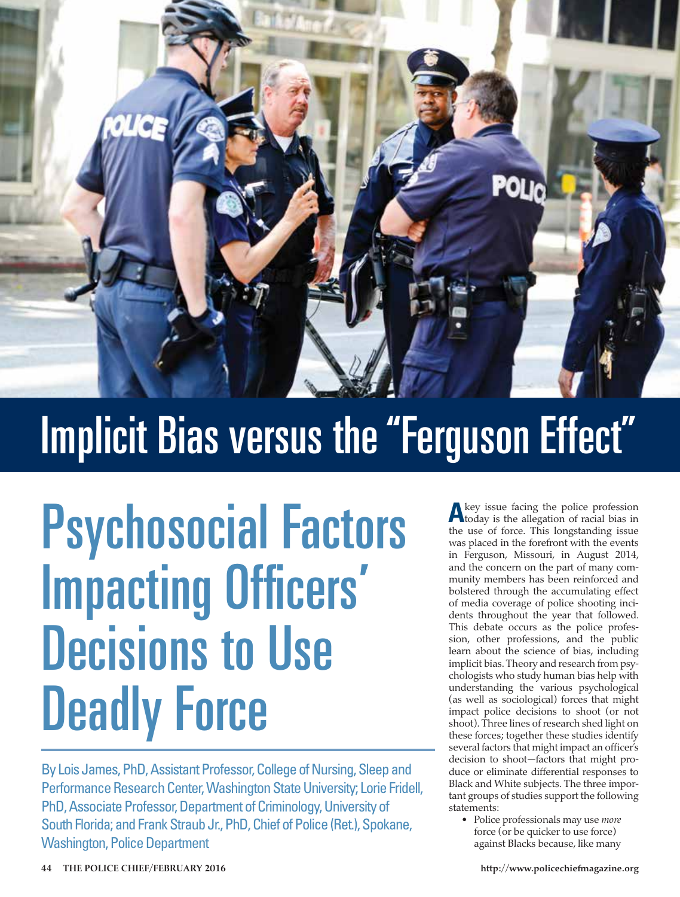

# Implicit Bias versus the "Ferguson Effect"

# Psychosocial Factors Impacting Officers' Decisions to Use Deadly Force

By Lois James, PhD, Assistant Professor, College of Nursing, Sleep and Performance Research Center, Washington State University; Lorie Fridell, PhD, Associate Professor, Department of Criminology, University of South Florida; and Frank Straub Jr., PhD, Chief of Police (Ret.), Spokane, Washington, Police Department

**A**key issue facing the police profession today is the allegation of racial bias in the use of force. This longstanding issue was placed in the forefront with the events in Ferguson, Missouri, in August 2014, and the concern on the part of many community members has been reinforced and bolstered through the accumulating effect of media coverage of police shooting incidents throughout the year that followed. This debate occurs as the police profession, other professions, and the public learn about the science of bias, including implicit bias. Theory and research from psychologists who study human bias help with understanding the various psychological (as well as sociological) forces that might impact police decisions to shoot (or not shoot). Three lines of research shed light on these forces; together these studies identify several factors that might impact an officer's decision to shoot—factors that might produce or eliminate differential responses to Black and White subjects. The three important groups of studies support the following statements:

• Police professionals may use *more* force (or be quicker to use force) against Blacks because, like many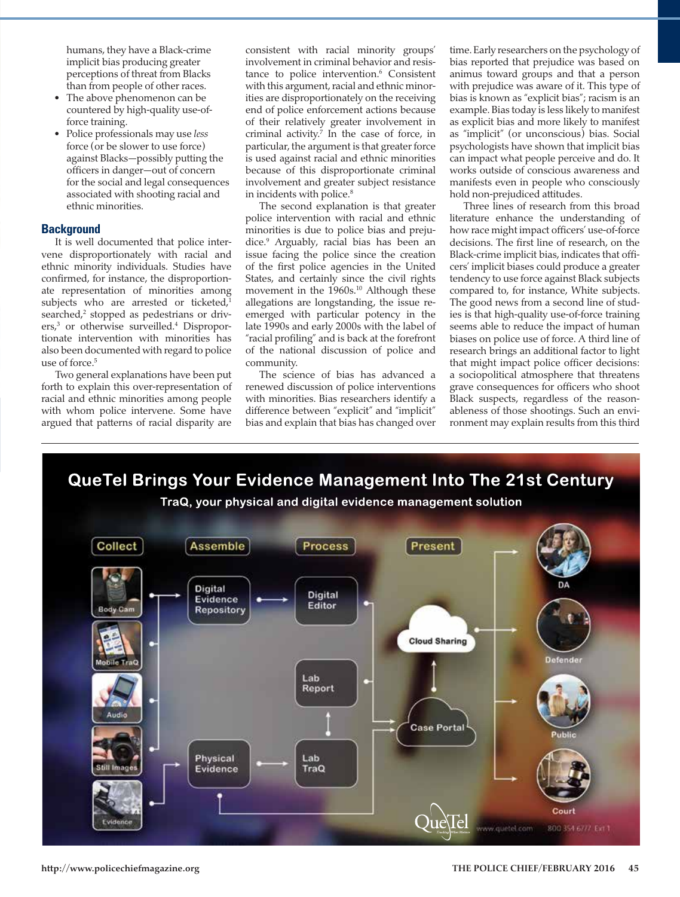humans, they have a Black-crime implicit bias producing greater perceptions of threat from Blacks than from people of other races.

- The above phenomenon can be countered by high-quality use-offorce training.
- Police professionals may use *less* force (or be slower to use force) against Blacks—possibly putting the officers in danger—out of concern for the social and legal consequences associated with shooting racial and ethnic minorities.

## **Background**

It is well documented that police intervene disproportionately with racial and ethnic minority individuals. Studies have confirmed, for instance, the disproportionate representation of minorities among subjects who are arrested or ticketed,<sup>1</sup> searched,<sup>2</sup> stopped as pedestrians or drivers,<sup>3</sup> or otherwise surveilled.<sup>4</sup> Disproportionate intervention with minorities has also been documented with regard to police use of force.<sup>5</sup>

Two general explanations have been put forth to explain this over-representation of racial and ethnic minorities among people with whom police intervene. Some have argued that patterns of racial disparity are

consistent with racial minority groups' involvement in criminal behavior and resistance to police intervention.<sup>6</sup> Consistent with this argument, racial and ethnic minorities are disproportionately on the receiving end of police enforcement actions because of their relatively greater involvement in criminal activity. $7$  In the case of force, in particular, the argument is that greater force is used against racial and ethnic minorities because of this disproportionate criminal involvement and greater subject resistance in incidents with police.<sup>8</sup>

The second explanation is that greater police intervention with racial and ethnic minorities is due to police bias and prejudice.9 Arguably, racial bias has been an issue facing the police since the creation of the first police agencies in the United States, and certainly since the civil rights movement in the 1960s.<sup>10</sup> Although these allegations are longstanding, the issue reemerged with particular potency in the late 1990s and early 2000s with the label of "racial profiling" and is back at the forefront of the national discussion of police and community.

The science of bias has advanced a renewed discussion of police interventions with minorities. Bias researchers identify a difference between "explicit" and "implicit" bias and explain that bias has changed over time. Early researchers on the psychology of bias reported that prejudice was based on animus toward groups and that a person with prejudice was aware of it. This type of bias is known as "explicit bias"; racism is an example. Bias today is less likely to manifest as explicit bias and more likely to manifest as "implicit" (or unconscious) bias. Social psychologists have shown that implicit bias can impact what people perceive and do. It works outside of conscious awareness and manifests even in people who consciously hold non-prejudiced attitudes.

Three lines of research from this broad literature enhance the understanding of how race might impact officers' use-of-force decisions. The first line of research, on the Black-crime implicit bias, indicates that officers' implicit biases could produce a greater tendency to use force against Black subjects compared to, for instance, White subjects. The good news from a second line of studies is that high-quality use-of-force training seems able to reduce the impact of human biases on police use of force. A third line of research brings an additional factor to light that might impact police officer decisions: a sociopolitical atmosphere that threatens grave consequences for officers who shoot Black suspects, regardless of the reasonableness of those shootings. Such an environment may explain results from this third

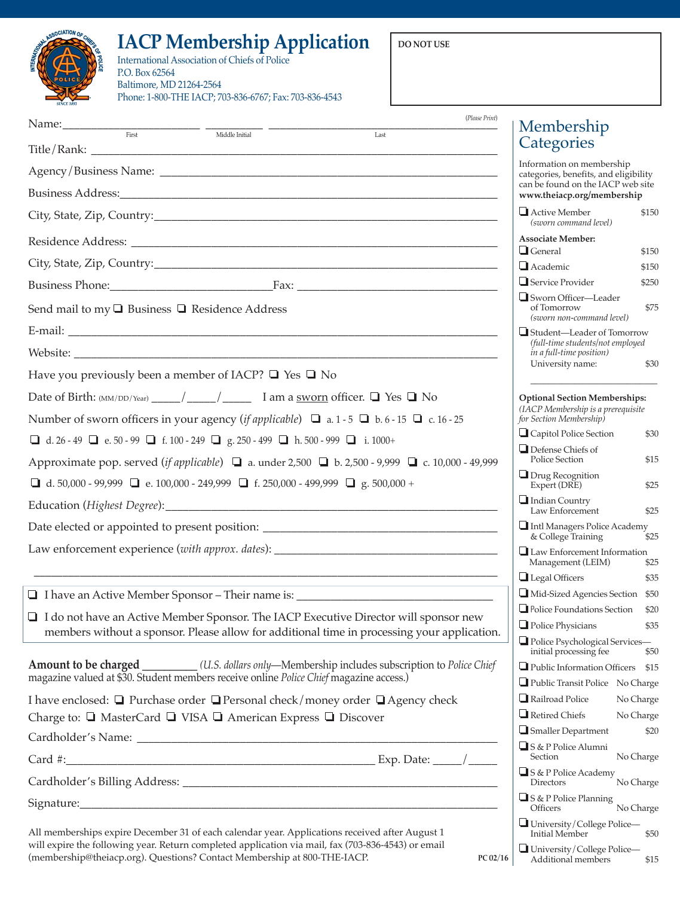## **IACP Membership Application**  $\vert$  DO NOT USE

|   | ASSOCIATION OF CHARGE |  |
|---|-----------------------|--|
|   |                       |  |
| Ê | POLICE                |  |
|   | <b>SINCE 1893</b>     |  |

## International Association of Chiefs of Police P.O. Box 62564 Baltimore, MD 21264-2564 Phone: 1-800-THE IACP; 703-836-6767; Fax: 703-836-4543

| $\frac{1}{\text{First}}$ $\frac{1}{\text{Third the Initial}}$                                                                                                                                                                                                                                                                                                         | (Please Print)            | Membership                                                                 |           |
|-----------------------------------------------------------------------------------------------------------------------------------------------------------------------------------------------------------------------------------------------------------------------------------------------------------------------------------------------------------------------|---------------------------|----------------------------------------------------------------------------|-----------|
|                                                                                                                                                                                                                                                                                                                                                                       | Last                      | Categories                                                                 |           |
|                                                                                                                                                                                                                                                                                                                                                                       | Information on membership |                                                                            |           |
|                                                                                                                                                                                                                                                                                                                                                                       |                           | categories, benefits, and eligibility<br>can be found on the IACP web site |           |
|                                                                                                                                                                                                                                                                                                                                                                       |                           | www.theiacp.org/membership                                                 |           |
|                                                                                                                                                                                                                                                                                                                                                                       |                           | Active Member<br>(sworn command level)                                     | \$150     |
|                                                                                                                                                                                                                                                                                                                                                                       |                           | Associate Member:<br>$\Box$ General                                        | \$150     |
|                                                                                                                                                                                                                                                                                                                                                                       |                           | $\Box$ Academic                                                            | \$150     |
|                                                                                                                                                                                                                                                                                                                                                                       |                           | $\Box$ Service Provider                                                    | \$250     |
| Send mail to my $\Box$ Business $\Box$ Residence Address                                                                                                                                                                                                                                                                                                              |                           | Sworn Officer-Leader<br>of Tomorrow<br>(sworn non-command level)           | \$75      |
|                                                                                                                                                                                                                                                                                                                                                                       |                           | Student-Leader of Tomorrow<br>(full-time students/not employed             |           |
|                                                                                                                                                                                                                                                                                                                                                                       |                           | in a full-time position)                                                   |           |
| Have you previously been a member of IACP? $\Box$ Yes $\Box$ No                                                                                                                                                                                                                                                                                                       |                           | University name:                                                           | \$30      |
|                                                                                                                                                                                                                                                                                                                                                                       |                           | <b>Optional Section Memberships:</b>                                       |           |
| Number of sworn officers in your agency ( <i>if applicable</i> ) $\Box$ a. 1 - 5 $\Box$ b. 6 - 15 $\Box$ c. 16 - 25                                                                                                                                                                                                                                                   |                           | (IACP Membership is a prerequisite<br>for Section Membership)              |           |
| $\boxed{\blacksquare} \;\; d. \; 26 - 49 \;\; \boxed{\blacksquare} \;\; e. \; 50 - 99 \;\; \boxed{\blacksquare} \;\; f. \; 100 - 249 \;\; \boxed{\blacksquare} \;\; g. \; 250 - 499 \;\; \boxed{\blacksquare} \;\; h. \; 500 - 999 \;\; \boxed{\blacksquare} \;\; i. \; 1000 + 1000 + 1000 + 1000 + 1000 + 1000 + 1000 + 1000 + 1000 + 1000 + 1000 + 1000 + 1000 + 1$ |                           | Capitol Police Section                                                     | \$30      |
| Approximate pop. served (if applicable) $\Box$ a. under 2,500 $\Box$ b. 2,500 - 9,999 $\Box$ c. 10,000 - 49,999                                                                                                                                                                                                                                                       |                           | $\Box$ Defense Chiefs of<br>Police Section                                 | \$15      |
| <b>■</b> d. 50,000 - 99,999 <b>■</b> e. 100,000 - 249,999 <b>■</b> f. 250,000 - 499,999 <b>■</b> g. 500,000 +                                                                                                                                                                                                                                                         |                           | $\Box$ Drug Recognition<br>Expert (DRE)                                    | \$25      |
|                                                                                                                                                                                                                                                                                                                                                                       |                           | Indian Country<br>Law Enforcement                                          | \$25      |
| Date elected or appointed to present position: __________________________________                                                                                                                                                                                                                                                                                     |                           | Intl Managers Police Academy<br>& College Training                         |           |
| Law enforcement experience (with approx. dates): ________________________________                                                                                                                                                                                                                                                                                     |                           | Law Enforcement Information                                                | \$25      |
| and the control of the control of the control of the control of the control of the control of the control of the                                                                                                                                                                                                                                                      |                           | Management (LEIM)                                                          | \$25      |
| □ I have an Active Member Sponsor – Their name is: _____________________________                                                                                                                                                                                                                                                                                      |                           | $\Box$ Legal Officers<br>Mid-Sized Agencies Section \$50                   | \$35      |
|                                                                                                                                                                                                                                                                                                                                                                       |                           | Police Foundations Section \$20                                            |           |
| $\Box$ I do not have an Active Member Sponsor. The IACP Executive Director will sponsor new<br>members without a sponsor. Please allow for additional time in processing your application.                                                                                                                                                                            |                           | Police Physicians \$35                                                     |           |
|                                                                                                                                                                                                                                                                                                                                                                       |                           | Police Psychological Services-<br>initial processing fee                   | \$50      |
| Amount to be charged _________(U.S. dollars only-Membership includes subscription to Police Chief                                                                                                                                                                                                                                                                     |                           | Public Information Officers \$15                                           |           |
| magazine valued at \$30. Student members receive online Police Chief magazine access.)                                                                                                                                                                                                                                                                                |                           | Public Transit Police No Charge                                            |           |
| I have enclosed: $\Box$ Purchase order $\Box$ Personal check/money order $\Box$ Agency check                                                                                                                                                                                                                                                                          |                           | Railroad Police                                                            | No Charge |
| Charge to: □ MasterCard □ VISA □ American Express □ Discover                                                                                                                                                                                                                                                                                                          |                           | Retired Chiefs                                                             | No Charge |
|                                                                                                                                                                                                                                                                                                                                                                       |                           | $\Box$ Smaller Department<br>S & P Police Alumni                           | \$20      |
|                                                                                                                                                                                                                                                                                                                                                                       |                           | Section                                                                    | No Charge |
|                                                                                                                                                                                                                                                                                                                                                                       |                           | S & P Police Academy<br>Directors                                          | No Charge |
|                                                                                                                                                                                                                                                                                                                                                                       |                           | S & P Police Planning<br>Officers                                          | No Charge |
| All memberships expire December 31 of each calendar year. Applications received after August 1<br>will expire the following year. Return completed application via mail, fax (703-836-4543) or email                                                                                                                                                                  |                           | University/College Police-<br>Initial Member                               | \$50      |
| (membership@theiacp.org). Questions? Contact Membership at 800-THE-IACP.                                                                                                                                                                                                                                                                                              | PC 02/16                  | University/College Police-<br>Additional members                           | \$15      |

**46 THE POLICE CHIEF/FEBRUARY 2016 http://www.policechiefmagazine.org**

Additional members \$15

**MISC PC 02/16**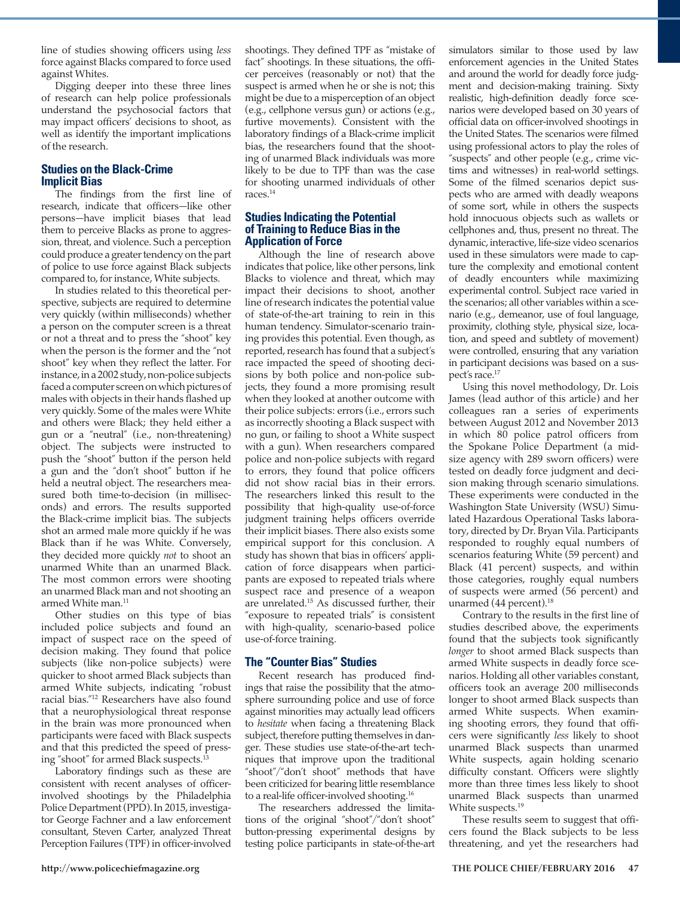line of studies showing officers using *less* force against Blacks compared to force used against Whites.

Digging deeper into these three lines of research can help police professionals understand the psychosocial factors that may impact officers' decisions to shoot, as well as identify the important implications of the research.

## **Studies on the Black-Crime Implicit Bias**

The findings from the first line of research, indicate that officers—like other persons—have implicit biases that lead them to perceive Blacks as prone to aggression, threat, and violence. Such a perception could produce a greater tendency on the part of police to use force against Black subjects compared to, for instance, White subjects.

In studies related to this theoretical perspective, subjects are required to determine very quickly (within milliseconds) whether a person on the computer screen is a threat or not a threat and to press the "shoot" key when the person is the former and the "not shoot" key when they reflect the latter. For instance, in a 2002 study, non-police subjects faced a computer screen on which pictures of males with objects in their hands flashed up very quickly. Some of the males were White and others were Black; they held either a gun or a "neutral" (i.e., non-threatening) object. The subjects were instructed to push the "shoot" button if the person held a gun and the "don't shoot" button if he held a neutral object. The researchers measured both time-to-decision (in milliseconds) and errors. The results supported the Black-crime implicit bias. The subjects shot an armed male more quickly if he was Black than if he was White. Conversely, they decided more quickly *not* to shoot an unarmed White than an unarmed Black. The most common errors were shooting an unarmed Black man and not shooting an armed White man.<sup>11</sup>

Other studies on this type of bias included police subjects and found an impact of suspect race on the speed of decision making. They found that police subjects (like non-police subjects) were quicker to shoot armed Black subjects than armed White subjects, indicating "robust racial bias."12 Researchers have also found that a neurophysiological threat response in the brain was more pronounced when participants were faced with Black suspects and that this predicted the speed of pressing "shoot" for armed Black suspects.<sup>13</sup>

Laboratory findings such as these are consistent with recent analyses of officerinvolved shootings by the Philadelphia Police Department (PPD). In 2015, investigator George Fachner and a law enforcement consultant, Steven Carter, analyzed Threat Perception Failures (TPF) in officer-involved

shootings. They defined TPF as "mistake of fact" shootings. In these situations, the officer perceives (reasonably or not) that the suspect is armed when he or she is not; this might be due to a misperception of an object (e.g., cellphone versus gun) or actions (e.g., furtive movements). Consistent with the laboratory findings of a Black-crime implicit bias, the researchers found that the shooting of unarmed Black individuals was more likely to be due to TPF than was the case for shooting unarmed individuals of other races.14

## **Studies Indicating the Potential of Training to Reduce Bias in the Application of Force**

Although the line of research above indicates that police, like other persons, link Blacks to violence and threat, which may impact their decisions to shoot, another line of research indicates the potential value of state-of-the-art training to rein in this human tendency. Simulator-scenario training provides this potential. Even though, as reported, research has found that a subject's race impacted the speed of shooting decisions by both police and non-police subjects, they found a more promising result when they looked at another outcome with their police subjects: errors (i.e., errors such as incorrectly shooting a Black suspect with no gun, or failing to shoot a White suspect with a gun). When researchers compared police and non-police subjects with regard to errors, they found that police officers did not show racial bias in their errors. The researchers linked this result to the possibility that high-quality use-of-force judgment training helps officers override their implicit biases. There also exists some empirical support for this conclusion. A study has shown that bias in officers' application of force disappears when participants are exposed to repeated trials where suspect race and presence of a weapon are unrelated.15 As discussed further, their "exposure to repeated trials" is consistent with high-quality, scenario-based police use-of-force training.

## **The "Counter Bias" Studies**

Recent research has produced findings that raise the possibility that the atmosphere surrounding police and use of force against minorities may actually lead officers to *hesitate* when facing a threatening Black subject, therefore putting themselves in danger. These studies use state-of-the-art techniques that improve upon the traditional "shoot"/"don't shoot" methods that have been criticized for bearing little resemblance to a real-life officer-involved shooting.<sup>16</sup>

The researchers addressed the limitations of the original "shoot"/"don't shoot" button-pressing experimental designs by testing police participants in state-of-the-art

simulators similar to those used by law enforcement agencies in the United States and around the world for deadly force judgment and decision-making training. Sixty realistic, high-definition deadly force scenarios were developed based on 30 years of official data on officer-involved shootings in the United States. The scenarios were filmed using professional actors to play the roles of "suspects" and other people (e.g., crime victims and witnesses) in real-world settings. Some of the filmed scenarios depict suspects who are armed with deadly weapons of some sort, while in others the suspects hold innocuous objects such as wallets or cellphones and, thus, present no threat. The dynamic, interactive, life-size video scenarios used in these simulators were made to capture the complexity and emotional content of deadly encounters while maximizing experimental control. Subject race varied in the scenarios; all other variables within a scenario (e.g., demeanor, use of foul language, proximity, clothing style, physical size, location, and speed and subtlety of movement) were controlled, ensuring that any variation in participant decisions was based on a suspect's race.17

Using this novel methodology, Dr. Lois James (lead author of this article) and her colleagues ran a series of experiments between August 2012 and November 2013 in which 80 police patrol officers from the Spokane Police Department (a midsize agency with 289 sworn officers) were tested on deadly force judgment and decision making through scenario simulations. These experiments were conducted in the Washington State University (WSU) Simulated Hazardous Operational Tasks laboratory, directed by Dr. Bryan Vila. Participants responded to roughly equal numbers of scenarios featuring White (59 percent) and Black (41 percent) suspects, and within those categories, roughly equal numbers of suspects were armed (56 percent) and unarmed (44 percent).<sup>18</sup>

Contrary to the results in the first line of studies described above, the experiments found that the subjects took significantly *longer* to shoot armed Black suspects than armed White suspects in deadly force scenarios. Holding all other variables constant, officers took an average 200 milliseconds longer to shoot armed Black suspects than armed White suspects. When examining shooting errors, they found that officers were significantly *less* likely to shoot unarmed Black suspects than unarmed White suspects, again holding scenario difficulty constant. Officers were slightly more than three times less likely to shoot unarmed Black suspects than unarmed White suspects.<sup>19</sup>

These results seem to suggest that officers found the Black subjects to be less threatening, and yet the researchers had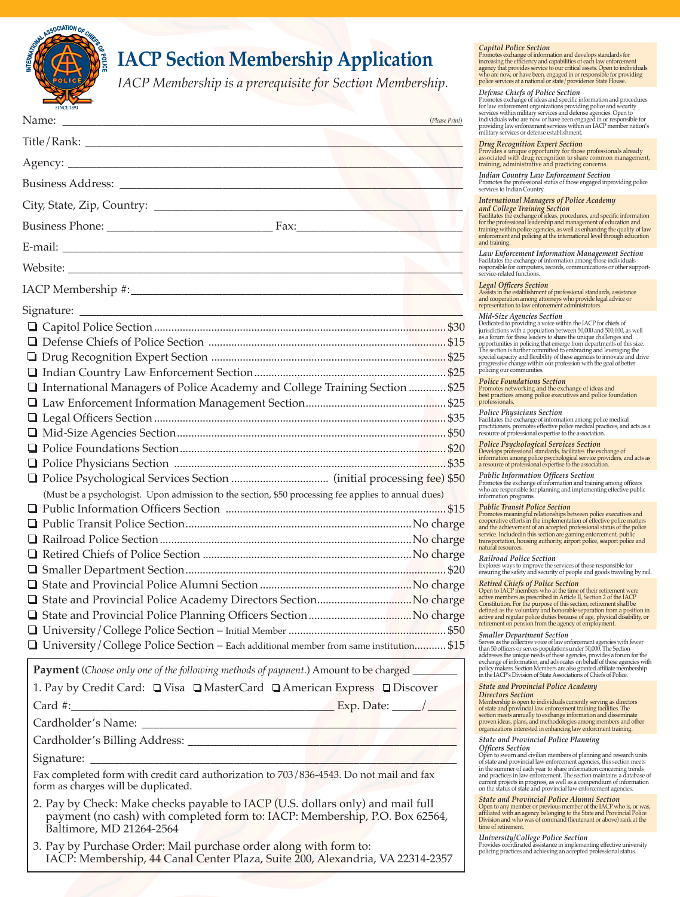

## **IACP Section Membership Application**

*IACP Membership is a prerequisite for Section Membership.*

| <b>SINCE 1893</b>                                                                                                                                                                         |                                                                                                                                                                                                                                                                                                                                                                                                                                                                                                                                                                                                                          |
|-------------------------------------------------------------------------------------------------------------------------------------------------------------------------------------------|--------------------------------------------------------------------------------------------------------------------------------------------------------------------------------------------------------------------------------------------------------------------------------------------------------------------------------------------------------------------------------------------------------------------------------------------------------------------------------------------------------------------------------------------------------------------------------------------------------------------------|
|                                                                                                                                                                                           | for law enforcement organizations providing police and security<br>services within military services and defense agencies. Open to<br>individuals who are now or have been engaged in or responsible<br>providing law enforcement servi<br>(Please Print)                                                                                                                                                                                                                                                                                                                                                                |
|                                                                                                                                                                                           |                                                                                                                                                                                                                                                                                                                                                                                                                                                                                                                                                                                                                          |
|                                                                                                                                                                                           | $\begin{tabular}{l} \textbf{\textit{Drug Recognition Expert Section}} \\ \textbf{\textit{Provided su unique opportunation} to those professionals already associated with drug recognition to share common management training, administrative and practicing concerns.} \end{tabular}$                                                                                                                                                                                                                                                                                                                                  |
|                                                                                                                                                                                           | Indian Country Law Enforcement Section<br>Promotes the professional status of those engaged inproviding poservices to Indian Country.                                                                                                                                                                                                                                                                                                                                                                                                                                                                                    |
|                                                                                                                                                                                           | <b>International Managers of Police Academy</b>                                                                                                                                                                                                                                                                                                                                                                                                                                                                                                                                                                          |
|                                                                                                                                                                                           | and College Training Section<br>Tacilitates the exchange of ideas, procedures, and specific informed<br>Tor the probesional leadership and management of education and<br>training within police agencies, as well as enhancing the qua                                                                                                                                                                                                                                                                                                                                                                                  |
|                                                                                                                                                                                           | and training.                                                                                                                                                                                                                                                                                                                                                                                                                                                                                                                                                                                                            |
|                                                                                                                                                                                           | $\emph{Law}{\bf\emph{L}nto}{\bf\emph{L}mor}{\bf\emph{L}nto}{\bf\emph{L}nto}{\bf\emph{L}nto}{\bf\emph{L}nto}{\bf\emph{L}nto}{\bf\emph{L}nto}{\bf\emph{L}nto}{\bf\emph{L}nto}{\bf\emph{L}nto}{\bf\emph{L}nto}{\bf\emph{L}nto}{\bf\emph{L}nto}{\bf\emph{L}nto}{\bf\emph{L}nto}{\bf\emph{L}nto}{\bf\emph{L}nto}{\bf\emph{L}nto}{\bf\emph$                                                                                                                                                                                                                                                                                    |
|                                                                                                                                                                                           | <b>Legal Officers Section</b><br>Assists in the establishment of professional standards, assistance                                                                                                                                                                                                                                                                                                                                                                                                                                                                                                                      |
|                                                                                                                                                                                           | and cooperation among attorneys who provide legal advice or representation to law enforcement administrators.                                                                                                                                                                                                                                                                                                                                                                                                                                                                                                            |
|                                                                                                                                                                                           |                                                                                                                                                                                                                                                                                                                                                                                                                                                                                                                                                                                                                          |
|                                                                                                                                                                                           |                                                                                                                                                                                                                                                                                                                                                                                                                                                                                                                                                                                                                          |
|                                                                                                                                                                                           | $Mid\mbox{-}Size Agencies Section$ Dedicated to providing a voice within the IACP for chiefs of Dedicated to providing a voice within the IACP for chiefs of a distance of these leaders to share the unique challenges and opportunities in polic                                                                                                                                                                                                                                                                                                                                                                       |
|                                                                                                                                                                                           |                                                                                                                                                                                                                                                                                                                                                                                                                                                                                                                                                                                                                          |
|                                                                                                                                                                                           |                                                                                                                                                                                                                                                                                                                                                                                                                                                                                                                                                                                                                          |
| □ International Managers of Police Academy and College Training Section  \$25                                                                                                             | <b>Police Foundations Section</b><br>Promotes networking and the exchange of ideas and<br>best practices among police executives and police foundation                                                                                                                                                                                                                                                                                                                                                                                                                                                                   |
|                                                                                                                                                                                           | professionals.                                                                                                                                                                                                                                                                                                                                                                                                                                                                                                                                                                                                           |
|                                                                                                                                                                                           | $\label{eq:1} \begin{array}{ll} \textbf{Police Physics} & \textbf{Physics} \textbf{Section} \\ \textbf{Facilities the exchange of information among police medical \\ \textbf{practitions}, \textbf{promotes effective police medical practices}, and act \\ \textbf{resource of professional expertise to the association}. \end{array}$                                                                                                                                                                                                                                                                                |
|                                                                                                                                                                                           |                                                                                                                                                                                                                                                                                                                                                                                                                                                                                                                                                                                                                          |
|                                                                                                                                                                                           | $\label{eq:1} \begin{array}{ll} \textbf{Police}~\textbf{Psychological}~\textbf{Services}~\textbf{Section} \\ \textbf{Develop: professional standard, facilitates the exchange of information among police psychological service providers, and a resource of professional expertise to the association.} \end{array}$                                                                                                                                                                                                                                                                                                    |
|                                                                                                                                                                                           |                                                                                                                                                                                                                                                                                                                                                                                                                                                                                                                                                                                                                          |
|                                                                                                                                                                                           | Public Information Officers Section<br>Promotes the exchange of information and training among offices                                                                                                                                                                                                                                                                                                                                                                                                                                                                                                                   |
| (Must be a psychologist. Upon admission to the section, \$50 processing fee applies to annual dues)                                                                                       | who are responsible for planning and implementing effective pul<br>information programs.                                                                                                                                                                                                                                                                                                                                                                                                                                                                                                                                 |
|                                                                                                                                                                                           |                                                                                                                                                                                                                                                                                                                                                                                                                                                                                                                                                                                                                          |
|                                                                                                                                                                                           |                                                                                                                                                                                                                                                                                                                                                                                                                                                                                                                                                                                                                          |
|                                                                                                                                                                                           | $\label{eq:1} \begin{tabular}{p{0.875\textwidth}} \textbf{Public Transit Police Section} \\ \textbf{Pronotes meaningful relation} \text{Ploss} \\ \textbf{cooperative efforts in the implementation of effective police math and the achievement of an acceptance of the poor dataset. \\ \textbf{set} \text{set} \text{set} \\ \textbf{set} \text{set} \text{set} \text{set} \\ \textbf{set} \text{set} \text{set} \text{set} \\ \textbf{in} \text{polarized probability,} \\ \textbf{in} \text{set} \text{set} \\ \textbf{in} \text{set} \text{set} \\ \textbf{in} \text{set} \\ \textbf{in} \text{set} \\ \textbf{in$ |
|                                                                                                                                                                                           | natural resources.                                                                                                                                                                                                                                                                                                                                                                                                                                                                                                                                                                                                       |
|                                                                                                                                                                                           | <b>Railroad Police Section</b><br>Explores ways to improve the services of those responsible for<br>ensuring the safety and security of people and goods traveling b                                                                                                                                                                                                                                                                                                                                                                                                                                                     |
|                                                                                                                                                                                           |                                                                                                                                                                                                                                                                                                                                                                                                                                                                                                                                                                                                                          |
|                                                                                                                                                                                           |                                                                                                                                                                                                                                                                                                                                                                                                                                                                                                                                                                                                                          |
|                                                                                                                                                                                           | Retired Chiefs of Police Section of their retirement were objected and<br>compension of the time of their retirement were merely active members a<br>prescribed in Article II, Section 2 of the IACP Constitution. For the purpose                                                                                                                                                                                                                                                                                                                                                                                       |
|                                                                                                                                                                                           |                                                                                                                                                                                                                                                                                                                                                                                                                                                                                                                                                                                                                          |
|                                                                                                                                                                                           |                                                                                                                                                                                                                                                                                                                                                                                                                                                                                                                                                                                                                          |
| □ University/College Police Section – Each additional member from same institution \$15                                                                                                   | Smaller Department Section<br>Serves as the collective voice of law enforcement agencies with few<br>than 50 officers or serves populations under 50,000. The Section<br>addresses the unique needs of these agencies, provides a forum                                                                                                                                                                                                                                                                                                                                                                                  |
| <b>Payment</b> (Choose only one of the following methods of payment.) Amount to be charged                                                                                                | in the IACP's Division of State Associations of Chiefs of Police.                                                                                                                                                                                                                                                                                                                                                                                                                                                                                                                                                        |
| 1. Pay by Credit Card: □ Visa □ MasterCard □ American Express □ Discover                                                                                                                  | <b>State and Provincial Police Academy</b><br><b>Directors Section</b>                                                                                                                                                                                                                                                                                                                                                                                                                                                                                                                                                   |
|                                                                                                                                                                                           |                                                                                                                                                                                                                                                                                                                                                                                                                                                                                                                                                                                                                          |
|                                                                                                                                                                                           | Drectors Section<br>Nembership is open to individuals currently serving as directors<br>of state and provincial law enforcement training facilities. The<br>section meets annually to exchange information and disseminate<br>proven i                                                                                                                                                                                                                                                                                                                                                                                   |
|                                                                                                                                                                                           | <b>State and Provincial Police Planning</b>                                                                                                                                                                                                                                                                                                                                                                                                                                                                                                                                                                              |
|                                                                                                                                                                                           | <b>Officers Section</b>                                                                                                                                                                                                                                                                                                                                                                                                                                                                                                                                                                                                  |
| Fax completed form with credit card authorization to 703/836-4543. Do not mail and fax<br>form as charges will be duplicated.                                                             | Open to sworn and civilian members of planning and research u<br>of state and provincial law enforcement agencies, this section me<br>in the summer of each year to share information concerning tren<br>and an assumed of catalystic and procedured and practices in law enforcement. The section maintains a databacurent projects in progress, as well as a compendium of informa on the status of state and provincial law enforcem                                                                                                                                                                                  |
| 2. Pay by Check: Make checks payable to IACP (U.S. dollars only) and mail full<br>payment (no cash) with completed form to: IACP: Membership, P.O. Box 62564,<br>Baltimore, MD 21264-2564 | <b>State and Provincial Police Alumni Section</b><br>Open to any member or previous member of the IACP who is, or<br>affiliated with an agency belonging to the State and Provincial Po<br>Division and who was of command (lieutenant or above) rank at<br>time of retirement.                                                                                                                                                                                                                                                                                                                                          |
| 3. Pay by Purchase Order: Mail purchase order along with form to:<br>IACP: Membership, 44 Canal Center Plaza, Suite 200, Alexandria, VA 22314-2357                                        | $\label{thm:unitary} \begin{minipage}{0.9\textwidth} \textbf{University/} College \textit{Policy} \textbf{Betic} \textbf{Betic} \textbf{Betic} \textbf{Fective} \textbf{univer} \textbf{policing} \textbf{practices} \textbf{and achieving an accepted professional status.} \end{minipage}$                                                                                                                                                                                                                                                                                                                             |
|                                                                                                                                                                                           |                                                                                                                                                                                                                                                                                                                                                                                                                                                                                                                                                                                                                          |

**Capitol Police Section**<br>Promotes exchange of information and develops standards for<br>Promotes exchange of information and develops standards for<br>increasing the efficiency and capabilities of each law enforcement<br>agency tha

## *Defense Chiefs of Police Section*

Promotes exchange of ideas and specific information and procedures<br>for law enforcement organizations providing police and security<br>services within military services and defense agencies. Open to<br>individuals who are now or

*Drug Recognition Expert Section* Provides a unique opportunity for those professionals already associated with drug recognition to share common management, training, administrative and practicing concerns.

*Indian Country Law Enforcement Section* Promotes the professional status of those engaged inproviding police services to Indian Country.

## *International Managers of Police Academy*

and College Training Section<br>Facilitates the exchange of ideas, procedures, and specific information<br>for the professional leadership and management of education and<br>training within police agencies, as well as enhancing the d training.

*Law Enforcement Information Management Section* Facilitates the exchange of information among those individuals responsible for computers, records, communications or other support-service-related functions.

## *Legal Officers Section*

**Mid-Size Agencies Section**<br>Dedicated to providing a voice within the IACP for chiefs of<br>purisdictions with a population between 50,000 and 500,000, as well<br>as a forum for these leaders to share the unique challenges and<br>o special capacity and flexibility of these agencies to innovate and drive progressive change within our profession with the goal of better policing our communities.

## *Police Physicians Section*

Facilitates the exchange of information among police medical practitioners, promotes effective police medical practices, and acts as a resource of professional expertise to the association.

*Police Psychological Services Section* Develops professional standards, facilitates the exchange of information among police psychological service providers, and acts as a resource of professional expertise to the association.

**Public Transit Police Section**<br>Promotes meaningful relationships between police executives and<br>cooperative efforts in the implementation of effective police matters<br>and the achievement of an accepted professional status o tural resources.

## *Railroad Police Section*

Explores ways to improve the services of those responsible for suring the safety and security of people and goods traveling by rail. *Retired Chiefs of Police Section*

Open to IACP members who at the time of their retirement were<br>active members as prescribed in Article II, Section 2 of the IACP<br>Constitution. For the purpose of this section, retirement shall be<br>defined as the voluntary an active and regular police duties because of age, physical disability, or retirement on pension from the agency of employment.

## *Smaller Department Section*

Serves as the collective voice of law enforcement agencies with tewer<br>than 50 officers or serves populations under 50,000. The Section<br>addresses the unique needs of these agencies, provides a forum for the<br>exchange of info policy makers. Section Members are also granted affiliate membership in the IACP's Division of State Associations of Chiefs of Police.

## *State and Provincial Police Academy*

### *State and Provincial Police Planning Officers Section*

Open to sworn and civilian members of planning and research units of state and provincial law enforcement agencies, this section meets in the summer of each year to share information concerning trends d practices in law enforcement. The section maintains a database of current projects in progress, as well as a compendium of information on the status of state and provincial law enforcement agencies.

*State and Provincial Police Alumni Section*<br>Open to any member or previous member of the IACP who is, or was,<br>affiliated with an agency belonging to the State and Provincial Police<br>Division and who was of command (lieuten te of retirement.

## *University/College Police Section*

Provides coordinated assistance in implementing effective university policing practices and achieving an accepted professional status.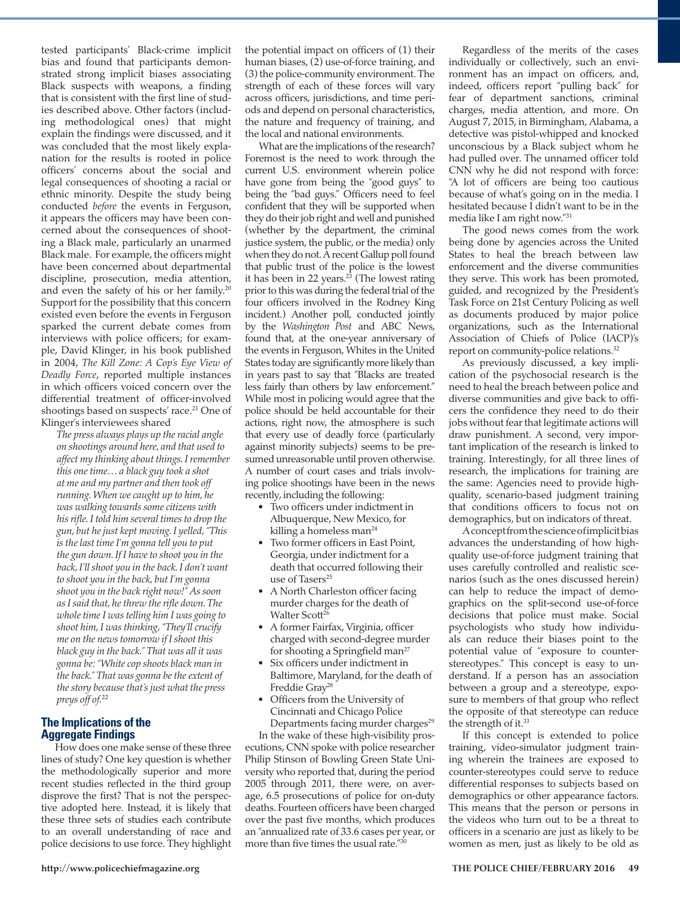tested participants' Black-crime implicit bias and found that participants demonstrated strong implicit biases associating Black suspects with weapons, a finding that is consistent with the first line of studies described above. Other factors (including methodological ones) that might explain the findings were discussed, and it was concluded that the most likely explanation for the results is rooted in police officers' concerns about the social and legal consequences of shooting a racial or ethnic minority. Despite the study being conducted *before* the events in Ferguson, it appears the officers may have been concerned about the consequences of shooting a Black male, particularly an unarmed Black male. For example, the officers might have been concerned about departmental discipline, prosecution, media attention, and even the safety of his or her family.<sup>20</sup> Support for the possibility that this concern existed even before the events in Ferguson sparked the current debate comes from interviews with police officers; for example, David Klinger, in his book published in 2004, *The Kill Zone: A Cop's Eye View of Deadly Force*, reported multiple instances in which officers voiced concern over the differential treatment of officer-involved shootings based on suspects' race.<sup>21</sup> One of Klinger's interviewees shared

*The press always plays up the racial angle on shootings around here, and that used to affect my thinking about things. I remember this one time… a black guy took a shot at me and my partner and then took off running. When we caught up to him, he was walking towards some citizens with his rifle. I told him several times to drop the gun, but he just kept moving. I yelled, "This is the last time I'm gonna tell you to put the gun down. If I have to shoot you in the back, I'll shoot you in the back. I don't want to shoot you in the back, but I'm gonna shoot you in the back right now!" As soon as I said that, he threw the rifle down. The whole time I was telling him I was going to shoot him, I was thinking, "They'll crucify me on the news tomorrow if I shoot this black guy in the back." That was all it was gonna be: "White cop shoots black man in the back." That was gonna be the extent of the story because that's just what the press preys off of.*<sup>22</sup>

## **The Implications of the Aggregate Findings**

How does one make sense of these three lines of study? One key question is whether the methodologically superior and more recent studies reflected in the third group disprove the first? That is not the perspective adopted here. Instead, it is likely that these three sets of studies each contribute to an overall understanding of race and police decisions to use force. They highlight

the potential impact on officers of (1) their human biases, (2) use-of-force training, and (3) the police-community environment. The strength of each of these forces will vary across officers, jurisdictions, and time periods and depend on personal characteristics, the nature and frequency of training, and the local and national environments.

What are the implications of the research? Foremost is the need to work through the current U.S. environment wherein police have gone from being the "good guys" to being the "bad guys." Officers need to feel confident that they will be supported when they do their job right and well and punished (whether by the department, the criminal justice system, the public, or the media) only when they do not. A recent Gallup poll found that public trust of the police is the lowest it has been in 22 years. $2^3$  (The lowest rating prior to this was during the federal trial of the four officers involved in the Rodney King incident.) Another poll, conducted jointly by the *Washington Post* and ABC News, found that, at the one-year anniversary of the events in Ferguson, Whites in the United States today are significantly more likely than in years past to say that "Blacks are treated less fairly than others by law enforcement." While most in policing would agree that the police should be held accountable for their actions, right now, the atmosphere is such that every use of deadly force (particularly against minority subjects) seems to be presumed unreasonable until proven otherwise. A number of court cases and trials involving police shootings have been in the news recently, including the following:

- Two officers under indictment in Albuquerque, New Mexico, for killing a homeless man<sup>24</sup>
- Two former officers in East Point, Georgia, under indictment for a death that occurred following their use of Tasers<sup>25</sup>
- A North Charleston officer facing murder charges for the death of Walter Scott<sup>26</sup>
- A former Fairfax, Virginia, officer charged with second-degree murder for shooting a Springfield man<sup>27</sup>
- Six officers under indictment in Baltimore, Maryland, for the death of Freddie Gray<sup>28</sup>
- Officers from the University of Cincinnati and Chicago Police Departments facing murder charges<sup>29</sup>

In the wake of these high-visibility prosecutions, CNN spoke with police researcher Philip Stinson of Bowling Green State University who reported that, during the period 2005 through 2011, there were, on average, 6.5 prosecutions of police for on-duty deaths. Fourteen officers have been charged over the past five months, which produces an "annualized rate of 33.6 cases per year, or more than five times the usual rate."30

Regardless of the merits of the cases individually or collectively, such an environment has an impact on officers, and, indeed, officers report "pulling back" for fear of department sanctions, criminal charges, media attention, and more. On August 7, 2015, in Birmingham, Alabama, a detective was pistol-whipped and knocked unconscious by a Black subject whom he had pulled over. The unnamed officer told CNN why he did not respond with force: "A lot of officers are being too cautious because of what's going on in the media. I hesitated because I didn't want to be in the media like I am right now."31

The good news comes from the work being done by agencies across the United States to heal the breach between law enforcement and the diverse communities they serve. This work has been promoted, guided, and recognized by the President's Task Force on 21st Century Policing as well as documents produced by major police organizations, such as the International Association of Chiefs of Police (IACP)'s report on community-police relations.32

As previously discussed, a key implication of the psychosocial research is the need to heal the breach between police and diverse communities and give back to officers the confidence they need to do their jobs without fear that legitimate actions will draw punishment. A second, very important implication of the research is linked to training. Interestingly, for all three lines of research, the implications for training are the same: Agencies need to provide highquality, scenario-based judgment training that conditions officers to focus not on demographics, but on indicators of threat.

A concept from the science of implicit bias advances the understanding of how highquality use-of-force judgment training that uses carefully controlled and realistic scenarios (such as the ones discussed herein) can help to reduce the impact of demographics on the split-second use-of-force decisions that police must make. Social psychologists who study how individuals can reduce their biases point to the potential value of "exposure to counterstereotypes." This concept is easy to understand. If a person has an association between a group and a stereotype, exposure to members of that group who reflect the opposite of that stereotype can reduce the strength of it.<sup>33</sup>

If this concept is extended to police training, video-simulator judgment training wherein the trainees are exposed to counter-stereotypes could serve to reduce differential responses to subjects based on demographics or other appearance factors. This means that the person or persons in the videos who turn out to be a threat to officers in a scenario are just as likely to be women as men, just as likely to be old as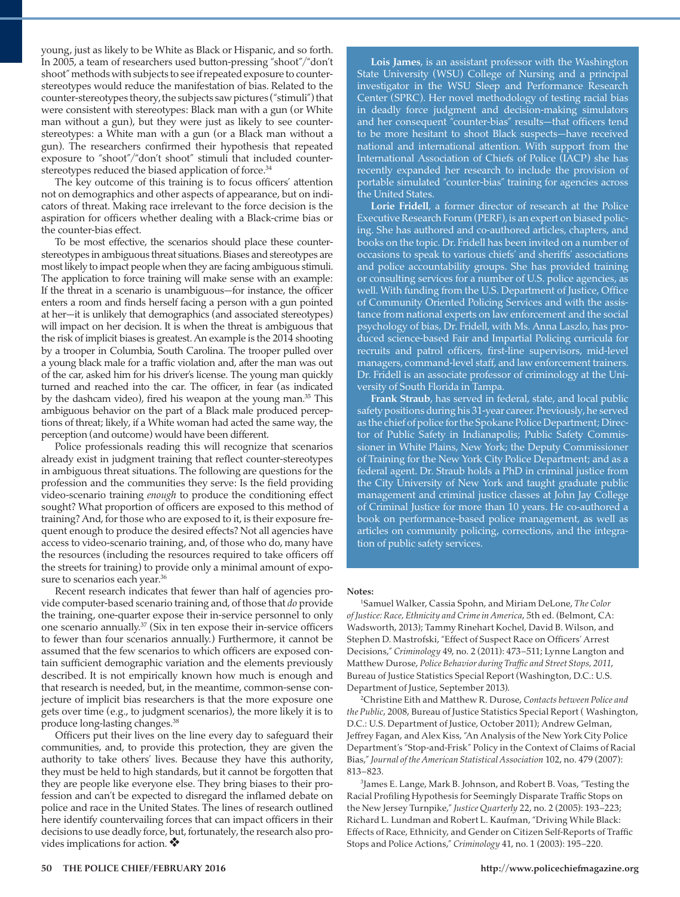young, just as likely to be White as Black or Hispanic, and so forth. In 2005, a team of researchers used button-pressing "shoot"/"don't shoot" methods with subjects to see if repeated exposure to counterstereotypes would reduce the manifestation of bias. Related to the counter-stereotypes theory, the subjects saw pictures ("stimuli") that were consistent with stereotypes: Black man with a gun (or White man without a gun), but they were just as likely to see counterstereotypes: a White man with a gun (or a Black man without a gun). The researchers confirmed their hypothesis that repeated exposure to "shoot"/"don't shoot" stimuli that included counterstereotypes reduced the biased application of force.<sup>34</sup>

The key outcome of this training is to focus officers' attention not on demographics and other aspects of appearance, but on indicators of threat. Making race irrelevant to the force decision is the aspiration for officers whether dealing with a Black-crime bias or the counter-bias effect.

To be most effective, the scenarios should place these counterstereotypes in ambiguous threat situations. Biases and stereotypes are most likely to impact people when they are facing ambiguous stimuli. The application to force training will make sense with an example: If the threat in a scenario is unambiguous—for instance, the officer enters a room and finds herself facing a person with a gun pointed at her—it is unlikely that demographics (and associated stereotypes) will impact on her decision. It is when the threat is ambiguous that the risk of implicit biases is greatest. An example is the 2014 shooting by a trooper in Columbia, South Carolina. The trooper pulled over a young black male for a traffic violation and, after the man was out of the car, asked him for his driver's license. The young man quickly turned and reached into the car. The officer, in fear (as indicated by the dashcam video), fired his weapon at the young man.<sup>35</sup> This ambiguous behavior on the part of a Black male produced perceptions of threat; likely, if a White woman had acted the same way, the perception (and outcome) would have been different.

Police professionals reading this will recognize that scenarios already exist in judgment training that reflect counter-stereotypes in ambiguous threat situations. The following are questions for the profession and the communities they serve: Is the field providing video-scenario training *enough* to produce the conditioning effect sought? What proportion of officers are exposed to this method of training? And, for those who are exposed to it, is their exposure frequent enough to produce the desired effects? Not all agencies have access to video-scenario training, and, of those who do, many have the resources (including the resources required to take officers off the streets for training) to provide only a minimal amount of exposure to scenarios each year.<sup>36</sup>

Recent research indicates that fewer than half of agencies provide computer-based scenario training and, of those that *do* provide the training, one-quarter expose their in-service personnel to only one scenario annually.37 (Six in ten expose their in-service officers to fewer than four scenarios annually.) Furthermore, it cannot be assumed that the few scenarios to which officers are exposed contain sufficient demographic variation and the elements previously described. It is not empirically known how much is enough and that research is needed, but, in the meantime, common-sense conjecture of implicit bias researchers is that the more exposure one gets over time (e.g., to judgment scenarios), the more likely it is to produce long-lasting changes.38

Officers put their lives on the line every day to safeguard their communities, and, to provide this protection, they are given the authority to take others' lives. Because they have this authority, they must be held to high standards, but it cannot be forgotten that they are people like everyone else. They bring biases to their profession and can't be expected to disregard the inflamed debate on police and race in the United States. The lines of research outlined here identify countervailing forces that can impact officers in their decisions to use deadly force, but, fortunately, the research also provides implications for action.  $\clubsuit$ 

**Lois James**, is an assistant professor with the Washington State University (WSU) College of Nursing and a principal investigator in the WSU Sleep and Performance Research Center (SPRC). Her novel methodology of testing racial bias in deadly force judgment and decision-making simulators and her consequent "counter-bias" results—that officers tend to be more hesitant to shoot Black suspects—have received national and international attention. With support from the International Association of Chiefs of Police (IACP) she has recently expanded her research to include the provision of portable simulated "counter-bias" training for agencies across the United States.

**Lorie Fridell**, a former director of research at the Police Executive Research Forum (PERF), is an expert on biased policing. She has authored and co-authored articles, chapters, and books on the topic. Dr. Fridell has been invited on a number of occasions to speak to various chiefs' and sheriffs' associations and police accountability groups. She has provided training or consulting services for a number of U.S. police agencies, as well. With funding from the U.S. Department of Justice, Office of Community Oriented Policing Services and with the assistance from national experts on law enforcement and the social psychology of bias, Dr. Fridell, with Ms. Anna Laszlo, has produced science-based Fair and Impartial Policing curricula for recruits and patrol officers, first-line supervisors, mid-level managers, command-level staff, and law enforcement trainers. Dr. Fridell is an associate professor of criminology at the University of South Florida in Tampa.

**Frank Straub**, has served in federal, state, and local public safety positions during his 31-year career. Previously, he served as the chief of police for the Spokane Police Department; Director of Public Safety in Indianapolis; Public Safety Commissioner in White Plains, New York; the Deputy Commissioner of Training for the New York City Police Department; and as a federal agent. Dr. Straub holds a PhD in criminal justice from the City University of New York and taught graduate public management and criminal justice classes at John Jay College of Criminal Justice for more than 10 years. He co-authored a book on performance-based police management, as well as articles on community policing, corrections, and the integration of public safety services.

### **Notes:**

1 Samuel Walker, Cassia Spohn, and Miriam DeLone, *The Color of Justice: Race, Ethnicity and Crime in America*, 5th ed. (Belmont, CA: Wadsworth, 2013); Tammy Rinehart Kochel, David B. Wilson, and Stephen D. Mastrofski, "Effect of Suspect Race on Officers' Arrest Decisions," *Criminology* 49, no. 2 (2011): 473–511; Lynne Langton and Matthew Durose, *Police Behavior during Traffic and Street Stops, 2011*, Bureau of Justice Statistics Special Report (Washington, D.C.: U.S. Department of Justice, September 2013). 2

Christine Eith and Matthew R. Durose, *Contacts between Police and the Public*, 2008, Bureau of Justice Statistics Special Report ( Washington, D.C.: U.S. Department of Justice, October 2011); Andrew Gelman, Jeffrey Fagan, and Alex Kiss, "An Analysis of the New York City Police Department's "Stop-and-Frisk" Policy in the Context of Claims of Racial Bias," *Journal of the American Statistical Association* 102, no. 479 (2007): 813–823.

James E. Lange, Mark B. Johnson, and Robert B. Voas, "Testing the Racial Profiling Hypothesis for Seemingly Disparate Traffic Stops on the New Jersey Turnpike," *Justice Quarterly* 22, no. 2 (2005): 193–223; Richard L. Lundman and Robert L. Kaufman, "Driving While Black: Effects of Race, Ethnicity, and Gender on Citizen Self-Reports of Traffic Stops and Police Actions," *Criminology* 41, no. 1 (2003): 195–220.